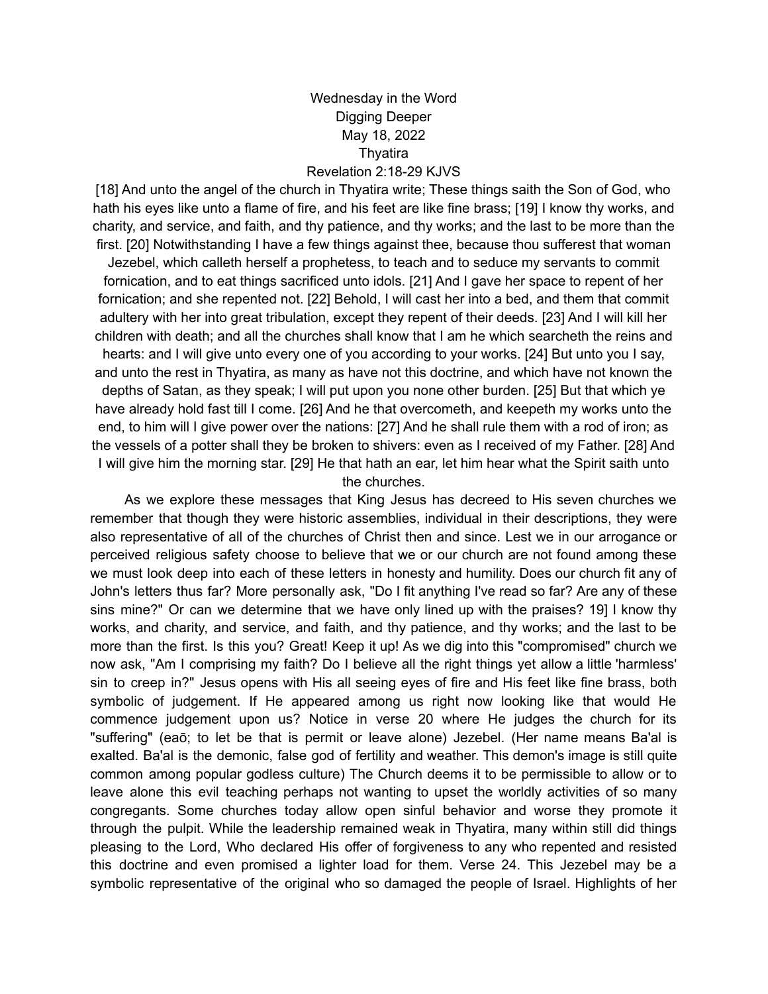## Wednesday in the Word Digging Deeper May 18, 2022 **Thyatira**

Revelation 2:18-29 KJVS

[18] And unto the angel of the church in Thyatira write; These things saith the Son of God, who hath his eyes like unto a flame of fire, and his feet are like fine brass; [19] I know thy works, and charity, and service, and faith, and thy patience, and thy works; and the last to be more than the first. [20] Notwithstanding I have a few things against thee, because thou sufferest that woman

Jezebel, which calleth herself a prophetess, to teach and to seduce my servants to commit fornication, and to eat things sacrificed unto idols. [21] And I gave her space to repent of her fornication; and she repented not. [22] Behold, I will cast her into a bed, and them that commit adultery with her into great tribulation, except they repent of their deeds. [23] And I will kill her children with death; and all the churches shall know that I am he which searcheth the reins and hearts: and I will give unto every one of you according to your works. [24] But unto you I say, and unto the rest in Thyatira, as many as have not this doctrine, and which have not known the depths of Satan, as they speak; I will put upon you none other burden. [25] But that which ye have already hold fast till I come. [26] And he that overcometh, and keepeth my works unto the end, to him will I give power over the nations: [27] And he shall rule them with a rod of iron; as the vessels of a potter shall they be broken to shivers: even as I received of my Father. [28] And I will give him the morning star. [29] He that hath an ear, let him hear what the Spirit saith unto the churches.

As we explore these messages that King Jesus has decreed to His seven churches we remember that though they were historic assemblies, individual in their descriptions, they were also representative of all of the churches of Christ then and since. Lest we in our arrogance or perceived religious safety choose to believe that we or our church are not found among these we must look deep into each of these letters in honesty and humility. Does our church fit any of John's letters thus far? More personally ask, "Do I fit anything I've read so far? Are any of these sins mine?" Or can we determine that we have only lined up with the praises? 19] I know thy works, and charity, and service, and faith, and thy patience, and thy works; and the last to be more than the first. Is this you? Great! Keep it up! As we dig into this "compromised" church we now ask, "Am I comprising my faith? Do I believe all the right things yet allow a little 'harmless' sin to creep in?" Jesus opens with His all seeing eyes of fire and His feet like fine brass, both symbolic of judgement. If He appeared among us right now looking like that would He commence judgement upon us? Notice in verse 20 where He judges the church for its "suffering" (eaō; to let be that is permit or leave alone) Jezebel. (Her name means Ba'al is exalted. Ba'al is the demonic, false god of fertility and weather. This demon's image is still quite common among popular godless culture) The Church deems it to be permissible to allow or to leave alone this evil teaching perhaps not wanting to upset the worldly activities of so many congregants. Some churches today allow open sinful behavior and worse they promote it through the pulpit. While the leadership remained weak in Thyatira, many within still did things pleasing to the Lord, Who declared His offer of forgiveness to any who repented and resisted this doctrine and even promised a lighter load for them. Verse 24. This Jezebel may be a symbolic representative of the original who so damaged the people of Israel. Highlights of her